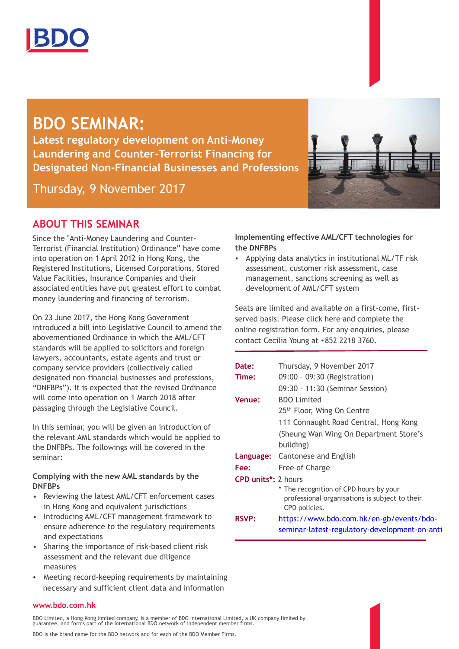

# **BDO SEMINAR:**

**Latest regulatory development on Anti-Money Laundering and Counter-Terrorist Financing for Designated Non-Financial Businesses and Professions**

Thursday, 9 November 2017

# **ABOUT THIS SEMINAR**

Since the "Anti-Money Laundering and Counter-Terrorist (Financial Institution) Ordinance" have come into operation on 1 April 2012 in Hong Kong, the Registered Institutions, Licensed Corporations, Stored Value Facilities, Insurance Companies and their associated entities have put greatest effort to combat money laundering and financing of terrorism.

On 23 June 2017, the Hong Kong Government introduced a bill into Legislative Council to amend the abovementioned Ordinance in which the AML/CFT standards will be applied to solicitors and foreign lawyers, accountants, estate agents and trust or company service providers (collectively called designated non-financial businesses and professions, "DNFBPs"). It is expected that the revised Ordinance will come into operation on 1 March 2018 after passaging through the Legislative Council.

In this seminar, you will be given an introduction of the relevant AML standards which would be applied to the DNFBPs. The followings will be covered in the seminar:

#### **Complying with the new AML standards by the DNFBPs**

- Reviewing the latest AML/CFT enforcement cases in Hong Kong and equivalent jurisdictions
- Introducing AML/CFT management framework to ensure adherence to the regulatory requirements and expectations
- Sharing the importance of risk-based client risk assessment and the relevant due diligence measures
- Meeting record-keeping requirements by maintaining necessary and sufficient client data and information

### **Implementing effective AML/CFT technologies for the DNFBPs**

• Applying data analytics in institutional ML/TF risk assessment, customer risk assessment, case management, sanctions screening as well as development of AML/CFT system

Seats are limited and available on a first-come, firstserved basis. Please click here and complete the online registration form. For any enquiries, please contact Cecilia Young at +852 2218 3760.

|                            | Date:         | Thursday, 9 November 2017                                                                                 |
|----------------------------|---------------|-----------------------------------------------------------------------------------------------------------|
|                            | Time:         | 09:00 - 09:30 (Registration)                                                                              |
|                            |               | 09:30 - 11:30 (Seminar Session)                                                                           |
|                            | <b>Venue:</b> | <b>BDO</b> Limited                                                                                        |
|                            |               | 25 <sup>th</sup> Floor, Wing On Centre                                                                    |
|                            |               | 111 Connaught Road Central, Hong Kong                                                                     |
|                            |               | (Sheung Wan Wing On Department Store's                                                                    |
|                            |               | building)                                                                                                 |
|                            |               | <b>Language:</b> Cantonese and English                                                                    |
|                            | Fee:          | Free of Charge                                                                                            |
| <b>CPD units*: 2 hours</b> |               |                                                                                                           |
|                            |               | * The recognition of CPD hours by your<br>professional organisations is subject to their<br>CPD policies. |
|                            | <b>RSVP:</b>  | https://www.bdo.com.hk/en-gb/events/bdo-<br>seminar-latest-regulatory-development-on-anti                 |
|                            |               |                                                                                                           |

#### **www.bdo.com.hk**

BDO Limited, a Hong Kong limited company, is a member of BDO International Limited, a UK company limited by guarantee, and forms part of the international BDO network of independent member firms.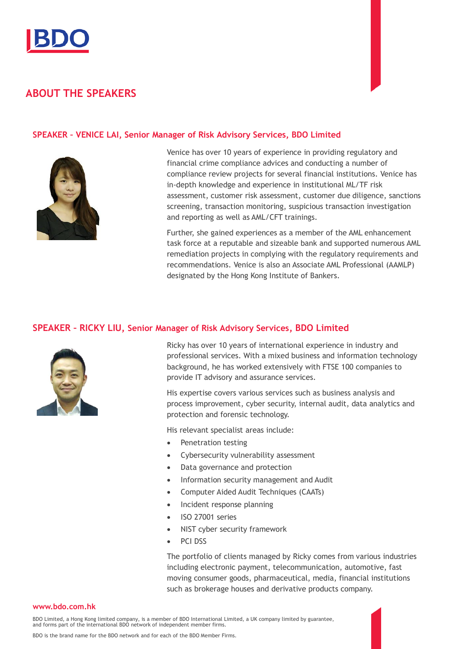

# **ABOUT THE SPEAKERS**

#### **SPEAKER – VENICE LAI, Senior Manager of Risk Advisory Services, BDO Limited**



Venice has over 10 years of experience in providing regulatory and financial crime compliance advices and conducting a number of compliance review projects for several financial institutions. Venice has in-depth knowledge and experience in institutional ML/TF risk assessment, customer risk assessment, customer due diligence, sanctions screening, transaction monitoring, suspicious transaction investigation and reporting as well as AML/CFT trainings.

Further, she gained experiences as a member of the AML enhancement task force at a reputable and sizeable bank and supported numerous AML remediation projects in complying with the regulatory requirements and recommendations. Venice is also an Associate AML Professional (AAMLP) designated by the Hong Kong Institute of Bankers.

#### **SPEAKER – RICKY LIU, Senior Manager of Risk Advisory Services, BDO Limited**



Ricky has over 10 years of international experience in industry and professional services. With a mixed business and information technology background, he has worked extensively with FTSE 100 companies to provide IT advisory and assurance services.

His expertise covers various services such as business analysis and process improvement, cyber security, internal audit, data analytics and protection and forensic technology.

His relevant specialist areas include:

- Penetration testing
- Cybersecurity vulnerability assessment
- Data governance and protection
- Information security management and Audit
- Computer Aided Audit Techniques (CAATs)
- Incident response planning
- ISO 27001 series
- NIST cyber security framework
- PCI DSS

The portfolio of clients managed by Ricky comes from various industries including electronic payment, telecommunication, automotive, fast moving consumer goods, pharmaceutical, media, financial institutions such as brokerage houses and derivative products company.

#### **www.bdo.com.hk**

BDO Limited, a Hong Kong limited company, is a member of BDO International Limited, a UK company limited by guarantee,<br>and forms part of the international BDO network of independent member firms.